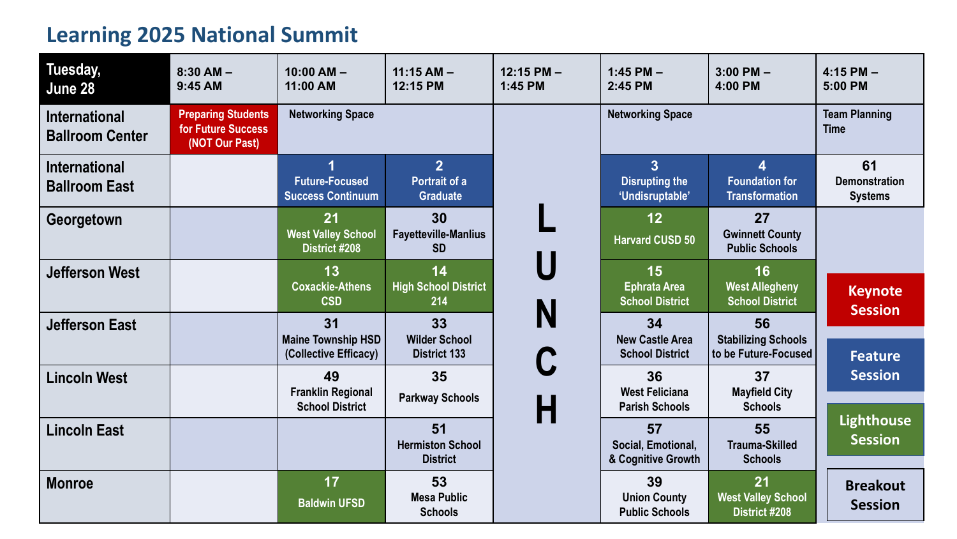## **Learning 2025 National Summit**

| Tuesday,<br>June 28                            | $8:30$ AM $-$<br>9:45 AM                                          | $10:00 AM -$<br>11:00 AM                                 | $11:15$ AM $-$<br>12:15 PM                         | $12:15$ PM $-$<br>1:45 PM | $1:45$ PM $-$<br>2:45 PM                                   | $3:00$ PM $-$<br>4:00 PM                                 | $4:15$ PM $-$<br>5:00 PM                     |
|------------------------------------------------|-------------------------------------------------------------------|----------------------------------------------------------|----------------------------------------------------|---------------------------|------------------------------------------------------------|----------------------------------------------------------|----------------------------------------------|
| <b>International</b><br><b>Ballroom Center</b> | <b>Preparing Students</b><br>for Future Success<br>(NOT Our Past) | <b>Networking Space</b>                                  |                                                    |                           | <b>Networking Space</b>                                    |                                                          | <b>Team Planning</b><br><b>Time</b>          |
| <b>International</b><br><b>Ballroom East</b>   |                                                                   | <b>Future-Focused</b><br><b>Success Continuum</b>        | $\overline{2}$<br>Portrait of a<br><b>Graduate</b> |                           | 3 <sup>1</sup><br><b>Disrupting the</b><br>'Undisruptable' | 4<br><b>Foundation for</b><br><b>Transformation</b>      | 61<br><b>Demonstration</b><br><b>Systems</b> |
| Georgetown                                     |                                                                   | 21<br><b>West Valley School</b><br><b>District #208</b>  | 30<br><b>Fayetteville-Manlius</b><br><b>SD</b>     |                           | 12<br><b>Harvard CUSD 50</b>                               | 27<br><b>Gwinnett County</b><br><b>Public Schools</b>    |                                              |
| <b>Jefferson West</b>                          |                                                                   | 13<br><b>Coxackie-Athens</b><br><b>CSD</b>               | 14<br><b>High School District</b><br>214           |                           | 15<br><b>Ephrata Area</b><br><b>School District</b>        | 16<br><b>West Allegheny</b><br><b>School District</b>    | <b>Keynote</b><br><b>Session</b>             |
| <b>Jefferson East</b>                          |                                                                   | 31<br><b>Maine Township HSD</b><br>(Collective Efficacy) | 33<br><b>Wilder School</b><br><b>District 133</b>  | N                         | 34<br><b>New Castle Area</b><br><b>School District</b>     | 56<br><b>Stabilizing Schools</b><br>to be Future-Focused | <b>Feature</b>                               |
| <b>Lincoln West</b>                            |                                                                   | 49<br><b>Franklin Regional</b><br><b>School District</b> | 35<br><b>Parkway Schools</b>                       | H                         | 36<br><b>West Feliciana</b><br><b>Parish Schools</b>       | 37<br><b>Mayfield City</b><br><b>Schools</b>             | <b>Session</b>                               |
| <b>Lincoln East</b>                            |                                                                   |                                                          | 51<br><b>Hermiston School</b><br><b>District</b>   |                           | 57<br>Social, Emotional,<br>& Cognitive Growth             | 55<br><b>Trauma-Skilled</b><br><b>Schools</b>            | <b>Lighthouse</b><br><b>Session</b>          |
| <b>Monroe</b>                                  |                                                                   | 17<br><b>Baldwin UFSD</b>                                | 53<br><b>Mesa Public</b><br><b>Schools</b>         |                           | 39<br><b>Union County</b><br><b>Public Schools</b>         | 21<br><b>West Valley School</b><br><b>District #208</b>  | <b>Breakout</b><br><b>Session</b>            |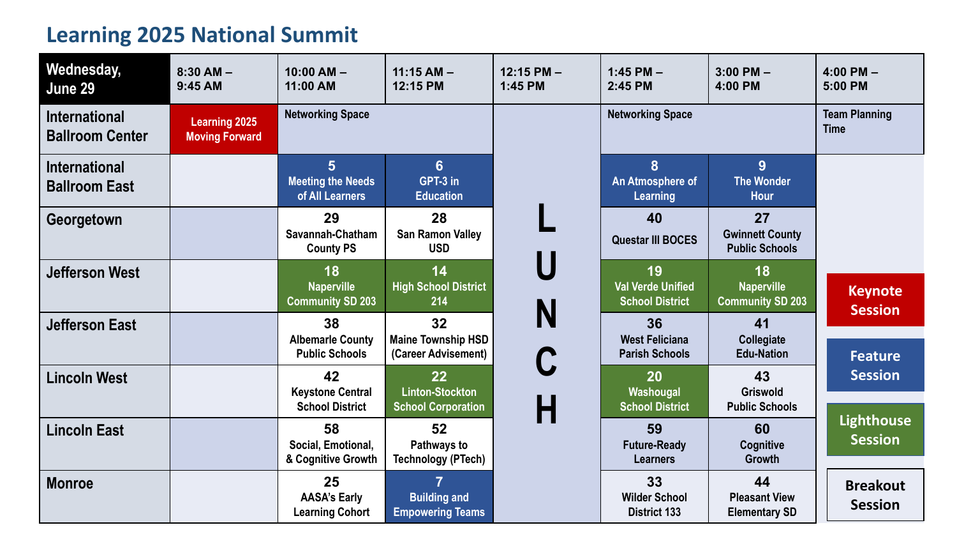## **Learning 2025 National Summit**

| Wednesday,<br>June 29                          | $8:30$ AM $-$<br>9:45 AM                      | $10:00 AM -$<br>11:00 AM                                      | $11:15$ AM $-$<br>12:15 PM                                       | $12:15$ PM $-$<br>1:45 PM | $1:45$ PM $-$<br>2:45 PM                                 | $3:00$ PM $-$<br>4:00 PM                              | $4:00$ PM $-$<br>5:00 PM            |
|------------------------------------------------|-----------------------------------------------|---------------------------------------------------------------|------------------------------------------------------------------|---------------------------|----------------------------------------------------------|-------------------------------------------------------|-------------------------------------|
| <b>International</b><br><b>Ballroom Center</b> | <b>Learning 2025</b><br><b>Moving Forward</b> | <b>Networking Space</b>                                       |                                                                  |                           | <b>Networking Space</b>                                  |                                                       | <b>Team Planning</b><br><b>Time</b> |
| <b>International</b><br><b>Ballroom East</b>   |                                               | 5 <sup>5</sup><br><b>Meeting the Needs</b><br>of All Learners | $6\phantom{1}$<br>GPT-3 in<br><b>Education</b>                   |                           | 8<br>An Atmosphere of<br><b>Learning</b>                 | 9<br><b>The Wonder</b><br><b>Hour</b>                 |                                     |
| Georgetown                                     |                                               | 29<br>Savannah-Chatham<br><b>County PS</b>                    | 28<br><b>San Ramon Valley</b><br><b>USD</b>                      |                           | 40<br><b>Questar III BOCES</b>                           | 27<br><b>Gwinnett County</b><br><b>Public Schools</b> |                                     |
| <b>Jefferson West</b>                          |                                               | 18<br><b>Naperville</b><br><b>Community SD 203</b>            | 14<br><b>High School District</b><br>214                         |                           | 19<br><b>Val Verde Unified</b><br><b>School District</b> | 18<br><b>Naperville</b><br><b>Community SD 203</b>    | <b>Keynote</b><br><b>Session</b>    |
| <b>Jefferson East</b>                          |                                               | 38<br><b>Albemarle County</b><br><b>Public Schools</b>        | 32<br><b>Maine Township HSD</b><br>(Career Advisement)           | N                         | 36<br><b>West Feliciana</b><br><b>Parish Schools</b>     | 41<br>Collegiate<br><b>Edu-Nation</b>                 | <b>Feature</b>                      |
| <b>Lincoln West</b>                            |                                               | 42<br><b>Keystone Central</b><br><b>School District</b>       | 22<br><b>Linton-Stockton</b><br><b>School Corporation</b>        | Н                         | 20<br>Washougal<br><b>School District</b>                | 43<br><b>Griswold</b><br><b>Public Schools</b>        | <b>Session</b>                      |
| <b>Lincoln East</b>                            |                                               | 58<br>Social, Emotional,<br>& Cognitive Growth                | 52<br>Pathways to<br><b>Technology (PTech)</b>                   |                           | 59<br><b>Future-Ready</b><br><b>Learners</b>             | 60<br><b>Cognitive</b><br><b>Growth</b>               | <b>Lighthouse</b><br><b>Session</b> |
| <b>Monroe</b>                                  |                                               | 25<br><b>AASA's Early</b><br><b>Learning Cohort</b>           | $\overline{7}$<br><b>Building and</b><br><b>Empowering Teams</b> |                           | 33<br><b>Wilder School</b><br><b>District 133</b>        | 44<br><b>Pleasant View</b><br><b>Elementary SD</b>    | <b>Breakout</b><br><b>Session</b>   |